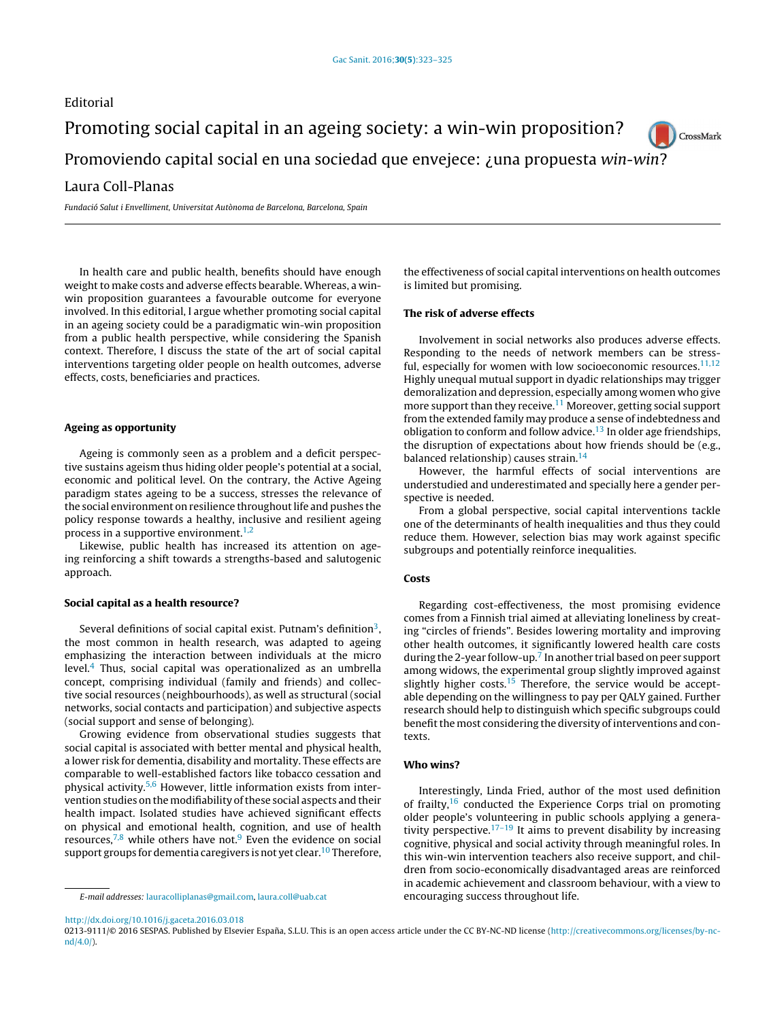# Editorial Promoting social capital in an ageing society: a win-win proposition? CrossMark Promoviendo capital social en una sociedad que envejece: ¿una propuesta win-win? Laura Coll-Planas

Fundació Salut i Envelliment, Universitat Autònoma de Barcelona, Barcelona, Spain

In health care and public health, benefits should have enough weight to make costs and adverse effects bearable. Whereas, a winwin proposition guarantees a favourable outcome for everyone involved. In this editorial, I argue whether promoting social capital in an ageing society could be a paradigmatic win-win proposition from a public health perspective, while considering the Spanish context. Therefore, I discuss the state of the art of social capital interventions targeting older people on health outcomes, adverse effects, costs, beneficiaries and practices.

## Ageing as opportunity

Ageing is commonly seen as a problem and a deficit perspective sustains ageism thus hiding older people's potential at a social, economic and political level. On the contrary, the Active Ageing paradigm states ageing to be a success, stresses the relevance of the social environment on resilience throughout life and pushes the policy response towards a healthy, inclusive and resilient ageing process in a supportive environment. $1,2$ 

Likewise, public health has increased its attention on ageing reinforcing a shift towards a strengths-based and salutogenic approach.

### Social capital as a health resource?

Several definitions of social capital exist. Putnam's definition $^3$  $^3$ , the most common in health research, was adapted to ageing emphasizing the interaction between individuals at the micro level. $4$  Thus, social capital was operationalized as an umbrella concept, comprising individual (family and friends) and collective social resources (neighbourhoods), as well as structural (social networks, social contacts and participation) and subjective aspects (social support and sense of belonging).

Growing evidence from observational studies suggests that social capital is associated with better mental and physical health, a lower risk for dementia, disability and mortality. These effects are comparable to well-established factors like tobacco cessation and physical activity.[5,6](#page-2-0) However, little information exists from intervention studies on the modifiability ofthese social aspects and their health impact. Isolated studies have achieved significant effects on physical and emotional health, cognition, and use of health resources, $7,8$  while others have not.<sup>[9](#page-2-0)</sup> Even the evidence on social support groups for dementia caregivers is not yet clear.<sup>[10](#page-2-0)</sup> Therefore,

[http://dx.doi.org/10.1016/j.gaceta.2016.03.018](dx.doi.org/10.1016/j.gaceta.2016.03.018)

the effectiveness of social capital interventions on health outcomes is limited but promising.

## The risk of adverse effects

Involvement in social networks also produces adverse effects. Responding to the needs of network members can be stressful, especially for women with low socioeconomic resources. $11,12$ Highly unequal mutual support in dyadic relationships may trigger demoralization and depression, especially among women who give more support than they receive.<sup>[11](#page-2-0)</sup> Moreover, getting social support from the extended family may produce a sense of indebtedness and obligation to conform and follow advice.<sup>[13](#page-2-0)</sup> In older age friendships, the disruption of expectations about how friends should be (e.g., balanced relationship) causes strain.<sup>[14](#page-2-0)</sup>

However, the harmful effects of social interventions are understudied and underestimated and specially here a gender perspective is needed.

From a global perspective, social capital interventions tackle one of the determinants of health inequalities and thus they could reduce them. However, selection bias may work against specific subgroups and potentially reinforce inequalities.

#### **Costs**

Regarding cost-effectiveness, the most promising evidence comes from a Finnish trial aimed at alleviating loneliness by creating "circles of friends". Besides lowering mortality and improving other health outcomes, it significantly lowered health care costs during the 2-year follow-up.<sup>[7](#page-2-0)</sup> In another trial based on peer support among widows, the experimental group slightly improved against slightly higher costs. $15$  Therefore, the service would be acceptable depending on the willingness to pay per QALY gained. Further research should help to distinguish which specific subgroups could benefit the most considering the diversity of interventions and contexts.

#### Who wins?

Interestingly, Linda Fried, author of the most used definition of frailty, $16$  conducted the Experience Corps trial on promoting older people's volunteering in public schools applying a genera-tivity perspective.<sup>[17–19](#page-2-0)</sup> It aims to prevent disability by increasing cognitive, physical and social activity through meaningful roles. In this win-win intervention teachers also receive support, and children from socio-economically disadvantaged areas are reinforced in academic achievement and classroom behaviour, with a view to encouraging success throughout life.

0213-9111/© 2016 SESPAS. Published by Elsevier España, S.L.U. This is an open access article under the CC BY-NC-ND license [\(http://creativecommons.org/licenses/by-nc](http://creativecommons.org/licenses/by-nc-nd/4.0/)[nd/4.0/\)](http://creativecommons.org/licenses/by-nc-nd/4.0/).

E-mail addresses: [lauracolliplanas@gmail.com,](mailto:lauracolliplanas@gmail.com) [laura.coll@uab.cat](mailto:laura.coll@uab.cat)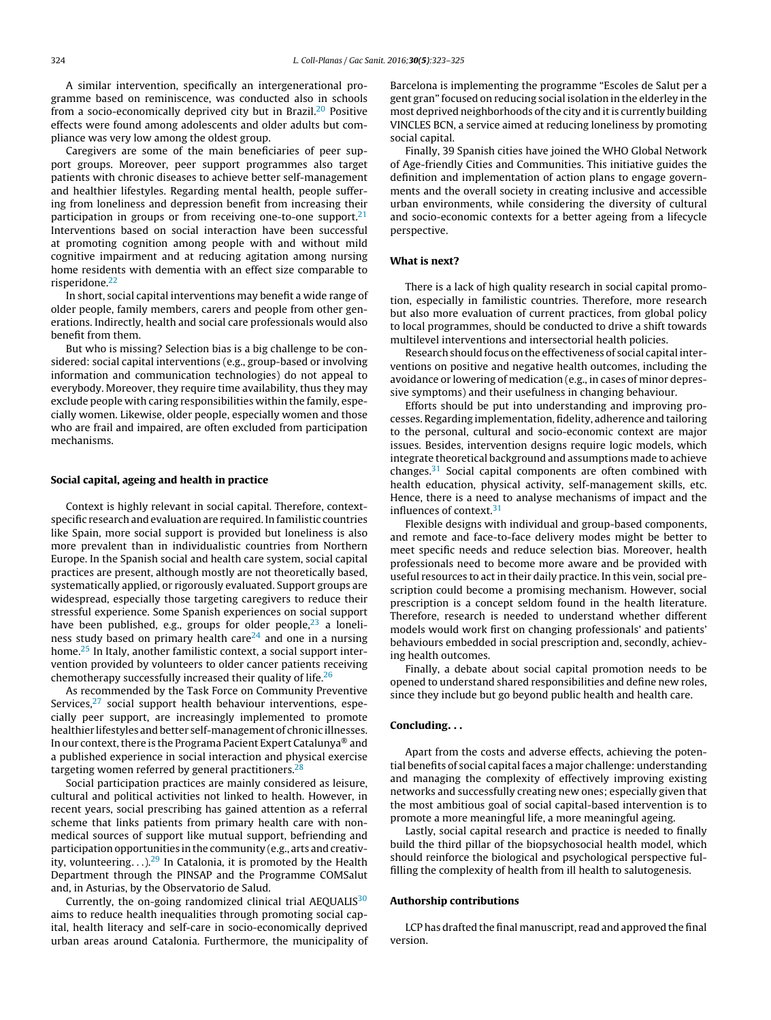A similar intervention, specifically an intergenerational programme based on reminiscence, was conducted also in schools from a socio-economically deprived city but in Brazil.<sup>[20](#page-2-0)</sup> Positive effects were found among adolescents and older adults but compliance was very low among the oldest group.

Caregivers are some of the main beneficiaries of peer support groups. Moreover, peer support programmes also target patients with chronic diseases to achieve better self-management and healthier lifestyles. Regarding mental health, people suffering from loneliness and depression benefit from increasing their participation in groups or from receiving one-to-one support. $21$ Interventions based on social interaction have been successful at promoting cognition among people with and without mild cognitive impairment and at reducing agitation among nursing home residents with dementia with an effect size comparable to risperidone.[22](#page-2-0)

In short, social capital interventions may benefit a wide range of older people, family members, carers and people from other generations. Indirectly, health and social care professionals would also benefit from them.

But who is missing? Selection bias is a big challenge to be considered: social capital interventions (e.g., group-based or involving information and communication technologies) do not appeal to everybody. Moreover, they require time availability, thus they may exclude people with caring responsibilities within the family, especially women. Likewise, older people, especially women and those who are frail and impaired, are often excluded from participation mechanisms.

### Social capital, ageing and health in practice

Context is highly relevant in social capital. Therefore, contextspecific research and evaluation are required. In familistic countries like Spain, more social support is provided but loneliness is also more prevalent than in individualistic countries from Northern Europe. In the Spanish social and health care system, social capital practices are present, although mostly are not theoretically based, systematically applied, or rigorously evaluated. Support groups are widespread, especially those targeting caregivers to reduce their stressful experience. Some Spanish experiences on social support have been published, e.g., groups for older people, $23$  a loneliness study based on primary health care $24$  and one in a nursing home.<sup>[25](#page-2-0)</sup> In Italy, another familistic context, a social support intervention provided by volunteers to older cancer patients receiving chemotherapy successfully increased their quality of life.<sup>[26](#page-2-0)</sup>

As recommended by the Task Force on Community Preventive Services, $27$  social support health behaviour interventions, especially peer support, are increasingly implemented to promote healthier lifestyles andbetter self-management of chronic illnesses. In our context, there is the Programa Pacient Expert Catalunya<sup>®</sup> and a published experience in social interaction and physical exercise targeting women referred by general practitioners.<sup>[28](#page-2-0)</sup>

Social participation practices are mainly considered as leisure, cultural and political activities not linked to health. However, in recent years, social prescribing has gained attention as a referral scheme that links patients from primary health care with nonmedical sources of support like mutual support, befriending and participation opportunities in the community (e.g., arts and creativity, volunteering.  $\ldots$ ).<sup>[29](#page-2-0)</sup> In Catalonia, it is promoted by the Health Department through the PINSAP and the Programme COMSalut and, in Asturias, by the Observatorio de Salud.

Currently, the on-going randomized clinical trial AEQUALIS<sup>[30](#page-2-0)</sup> aims to reduce health inequalities through promoting social capital, health literacy and self-care in socio-economically deprived urban areas around Catalonia. Furthermore, the municipality of Barcelona is implementing the programme "Escoles de Salut per a gent gran" focused on reducing social isolation in the elderley in the most deprived neighborhoods of the city and it is currently building VINCLES BCN, a service aimed at reducing loneliness by promoting social capital.

Finally, 39 Spanish cities have joined the WHO Global Network of Age-friendly Cities and Communities. This initiative guides the definition and implementation of action plans to engage governments and the overall society in creating inclusive and accessible urban environments, while considering the diversity of cultural and socio-economic contexts for a better ageing from a lifecycle perspective.

## What is next?

There is a lack of high quality research in social capital promotion, especially in familistic countries. Therefore, more research but also more evaluation of current practices, from global policy to local programmes, should be conducted to drive a shift towards multilevel interventions and intersectorial health policies.

Research should focus on the effectiveness of social capital interventions on positive and negative health outcomes, including the avoidance or lowering of medication (e.g., in cases of minor depressive symptoms) and their usefulness in changing behaviour.

Efforts should be put into understanding and improving processes. Regarding implementation, fidelity, adherence and tailoring to the personal, cultural and socio-economic context are major issues. Besides, intervention designs require logic models, which integrate theoretical background and assumptions made to achieve changes. $31$  Social capital components are often combined with health education, physical activity, self-management skills, etc. Hence, there is a need to analyse mechanisms of impact and the influences of context.<sup>[31](#page-2-0)</sup>

Flexible designs with individual and group-based components, and remote and face-to-face delivery modes might be better to meet specific needs and reduce selection bias. Moreover, health professionals need to become more aware and be provided with useful resources to act in their daily practice. In this vein, social prescription could become a promising mechanism. However, social prescription is a concept seldom found in the health literature. Therefore, research is needed to understand whether different models would work first on changing professionals' and patients' behaviours embedded in social prescription and, secondly, achieving health outcomes.

Finally, a debate about social capital promotion needs to be opened to understand shared responsibilities and define new roles, since they include but go beyond public health and health care.

## Concluding...

Apart from the costs and adverse effects, achieving the potential benefits of social capital faces a major challenge: understanding and managing the complexity of effectively improving existing networks and successfully creating new ones; especially given that the most ambitious goal of social capital-based intervention is to promote a more meaningful life, a more meaningful ageing.

Lastly, social capital research and practice is needed to finally build the third pillar of the biopsychosocial health model, which should reinforce the biological and psychological perspective fulfilling the complexity of health from ill health to salutogenesis.

### Authorship contributions

LCP has drafted the final manuscript, read and approved the final version.